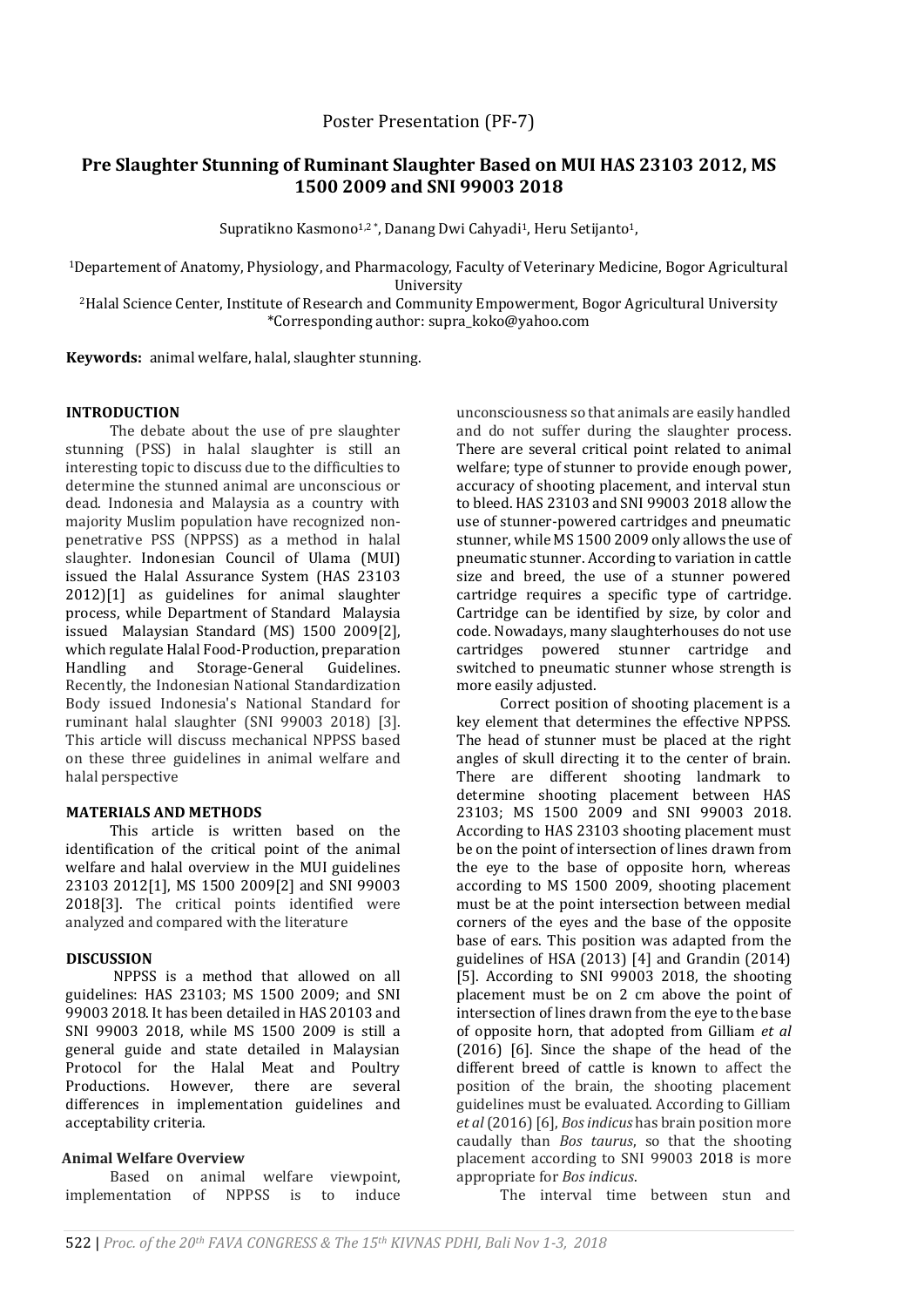# **Pre Slaughter Stunning of Ruminant Slaughter Based on MUI HAS 23103 2012, MS 1500 2009 and SNI 99003 2018**

Supratikno Kasmono<sup>1,2</sup>\*, Danang Dwi Cahyadi<sup>1</sup>, Heru Setijanto<sup>1</sup>,

<sup>1</sup>Departement of Anatomy, Physiology, and Pharmacology, Faculty of Veterinary Medicine, Bogor Agricultural University

<sup>2</sup>Halal Science Center, Institute of Research and Community Empowerment, Bogor Agricultural University \*Corresponding author: supra\_koko@yahoo.com

**Keywords:** animal welfare, halal, slaughter stunning.

## **INTRODUCTION**

The debate about the use of pre slaughter stunning (PSS) in halal slaughter is still an interesting topic to discuss due to the difficulties to determine the stunned animal are unconscious or dead. Indonesia and Malaysia as a country with majority Muslim population have recognized nonpenetrative PSS (NPPSS) as a method in halal slaughter. Indonesian Council of Ulama (MUI) issued the Halal Assurance System (HAS 23103 2012)[1] as guidelines for animal slaughter process, while Department of Standard Malaysia issued Malaysian Standard (MS) 1500 2009[2], which regulate Halal Food-Production, preparation Handling and Storage-General Guidelines. Recently, the Indonesian National Standardization Body issued Indonesia's National Standard for ruminant halal slaughter (SNI 99003 2018) [3]. This article will discuss mechanical NPPSS based on these three guidelines in animal welfare and halal perspective

## **MATERIALS AND METHODS**

This article is written based on the identification of the critical point of the animal welfare and halal overview in the MUI guidelines 23103 2012[1], MS 1500 2009[2] and SNI 99003 2018[3]. The critical points identified were analyzed and compared with the literature

### **DISCUSSION**

NPPSS is a method that allowed on all guidelines: HAS 23103; MS 1500 2009; and SNI 99003 2018. It has been detailed in HAS 20103 and SNI 99003 2018, while MS 1500 2009 is still a general guide and state detailed in Malaysian Protocol for the Halal Meat and Poultry Productions. However, there are several differences in implementation guidelines and acceptability criteria.

### **Animal Welfare Overview**

Based on animal welfare viewpoint, implementation of NPPSS is to induce unconsciousness so that animals are easily handled and do not suffer during the slaughter process. There are several critical point related to animal welfare; type of stunner to provide enough power, accuracy of shooting placement, and interval stun to bleed. HAS 23103 and SNI 99003 2018 allow the use of stunner-powered cartridges and pneumatic stunner, while MS 1500 2009 only allows the use of pneumatic stunner. According to variation in cattle size and breed, the use of a stunner powered cartridge requires a specific type of cartridge. Cartridge can be identified by size, by color and code. Nowadays, many slaughterhouses do not use cartridges powered stunner cartridge and switched to pneumatic stunner whose strength is more easily adjusted.

Correct position of shooting placement is a key element that determines the effective NPPSS. The head of stunner must be placed at the right angles of skull directing it to the center of brain. There are different shooting landmark to determine shooting placement between HAS 23103; MS 1500 2009 and SNI 99003 2018. According to HAS 23103 shooting placement must be on the point of intersection of lines drawn from the eye to the base of opposite horn, whereas according to MS 1500 2009, shooting placement must be at the point intersection between medial corners of the eyes and the base of the opposite base of ears. This position was adapted from the guidelines of HSA (2013) [4] and Grandin (2014) [5]. According to SNI 99003 2018, the shooting placement must be on 2 cm above the point of intersection of lines drawn from the eye to the base of opposite horn, that adopted from Gilliam *et al* (2016) [6]. Since the shape of the head of the different breed of cattle is known to affect the position of the brain, the shooting placement guidelines must be evaluated. According to Gilliam *et al*(2016)[6], *Bos indicus* has brain position more caudally than *Bos taurus*, so that the shooting placement according to SNI 99003 2018 is more appropriate for *Bos indicus*.

The interval time between stun and